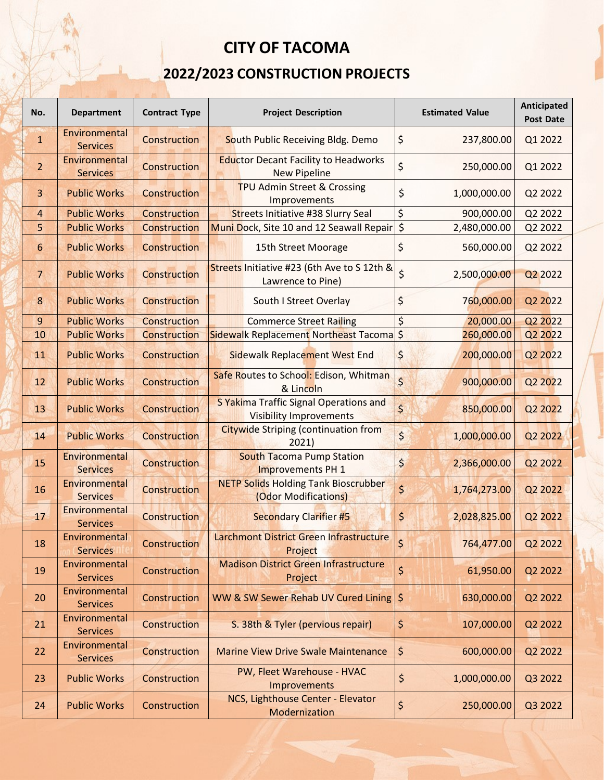## **CITY OF TACOMA**

## **2022/2023 CONSTRUCTION PROJECTS**

| No.             | <b>Department</b>                | <b>Contract Type</b> | <b>Project Description</b>                                               | <b>Estimated Value</b>                | Anticipated<br><b>Post Date</b> |
|-----------------|----------------------------------|----------------------|--------------------------------------------------------------------------|---------------------------------------|---------------------------------|
| $\mathbf{1}$    | Environmental<br><b>Services</b> | Construction         | South Public Receiving Bldg. Demo                                        | \$<br>237,800.00                      | Q1 2022                         |
| $\overline{2}$  | Environmental<br><b>Services</b> | Construction         | <b>Eductor Decant Facility to Headworks</b><br><b>New Pipeline</b>       | \$<br>250,000.00                      | Q1 2022                         |
| $\overline{3}$  | <b>Public Works</b>              | Construction         | TPU Admin Street & Crossing<br>Improvements                              | \$<br>1,000,000.00                    | Q2 2022                         |
| 4               | <b>Public Works</b>              | Construction         | <b>Streets Initiative #38 Slurry Seal</b>                                | \$<br>900,000.00                      | Q2 2022                         |
| 5               | <b>Public Works</b>              | Construction         | Muni Dock, Site 10 and 12 Seawall Repair                                 | $\overline{\xi}$<br>2,480,000.00      | Q2 2022                         |
| 6               | <b>Public Works</b>              | <b>Construction</b>  | 15th Street Moorage                                                      | \$<br>560,000.00                      | Q2 2022                         |
| $7\phantom{.0}$ | <b>Public Works</b>              | Construction         | Streets Initiative #23 (6th Ave to S 12th &<br>Lawrence to Pine)         | \$<br>2,500,000.00                    | Q <sub>2</sub> 2022             |
| 8               | <b>Public Works</b>              | <b>Construction</b>  | South I Street Overlay                                                   | \$<br>760,000.00                      | Q2 2022                         |
| $\overline{9}$  | <b>Public Works</b>              | Construction         | <b>Commerce Street Railing</b>                                           | \$<br>20,000.00                       | Q2 2022                         |
| 10              | <b>Public Works</b>              | Construction         | Sidewalk Replacement Northeast Tacoma \$                                 | 260,000.00                            | Q2 2022                         |
| 11              | <b>Public Works</b>              | Construction         | Sidewalk Replacement West End                                            | \$<br>200,000.00                      | Q2 2022                         |
| 12              | <b>Public Works</b>              | Construction         | Safe Routes to School: Edison, Whitman<br>& Lincoln                      | $\overline{\mathsf{S}}$<br>900,000.00 | Q2 2022                         |
| 13              | <b>Public Works</b>              | Construction         | S Yakima Traffic Signal Operations and<br><b>Visibility Improvements</b> | \$<br>850,000.00                      | Q2 2022                         |
| 14              | <b>Public Works</b>              | Construction         | <b>Citywide Striping (continuation from</b><br>2021)                     | $\zeta$<br>1,000,000.00               | Q2 2022                         |
| 15              | Environmental<br><b>Services</b> | <b>Construction</b>  | <b>South Tacoma Pump Station</b><br>Improvements PH 1                    | \$<br>2,366,000.00                    | Q2 2022                         |
| 16              | Environmental<br><b>Services</b> | Construction         | <b>NETP Solids Holding Tank Bioscrubber</b><br>(Odor Modifications)      | \$<br>1,764,273.00                    | Q2 2022                         |
| 17              | Environmental<br><b>Services</b> | Construction         | <b>Secondary Clarifier #5</b>                                            | \$<br>2,028,825.00                    | Q2 2022                         |
| 18              | Environmental<br><b>Services</b> | Construction         | Larchmont District Green Infrastructure<br>Project                       | \$<br>764,477.00                      | Q2 2022                         |
| 19              | Environmental<br><b>Services</b> | Construction         | <b>Madison District Green Infrastructure</b><br>Project                  | \$<br>61,950.00                       | Q2 2022                         |
| 20              | Environmental<br><b>Services</b> | Construction         | WW & SW Sewer Rehab UV Cured Lining   \$                                 | 630,000.00                            | Q2 2022                         |
| 21              | Environmental<br><b>Services</b> | Construction         | S. 38th & Tyler (pervious repair)                                        | \$<br>107,000.00                      | Q2 2022                         |
| 22              | Environmental<br><b>Services</b> | Construction         | <b>Marine View Drive Swale Maintenance</b>                               | \$<br>600,000.00                      | Q2 2022                         |
| 23              | <b>Public Works</b>              | Construction         | PW, Fleet Warehouse - HVAC<br>Improvements                               | \$<br>1,000,000.00                    | Q3 2022                         |
| 24              | <b>Public Works</b>              | Construction         | NCS, Lighthouse Center - Elevator<br>Modernization                       | \$<br>250,000.00                      | Q3 2022                         |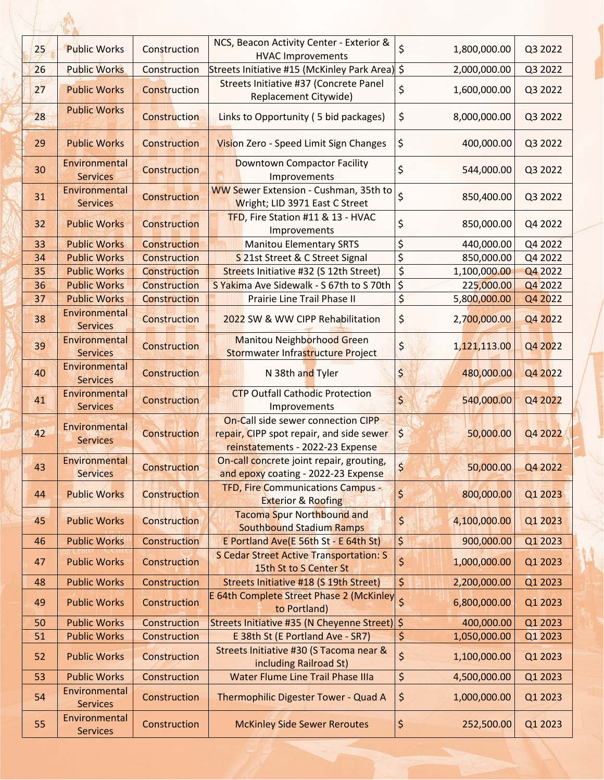| 25 | <b>Public Works</b>              | Construction        | NCS, Beacon Activity Center - Exterior &<br><b>HVAC Improvements</b>                                               | \$<br>1,800,000.00                    | Q3 2022 |
|----|----------------------------------|---------------------|--------------------------------------------------------------------------------------------------------------------|---------------------------------------|---------|
| 26 | <b>Public Works</b>              | Construction        | Streets Initiative #15 (McKinley Park Area) \$                                                                     | 2,000,000.00                          | Q3 2022 |
| 27 | <b>Public Works</b>              | Construction        | Streets Initiative #37 (Concrete Panel<br>Replacement Citywide)                                                    | \$<br>1,600,000.00                    | Q3 2022 |
| 28 | <b>Public Works</b>              | Construction        | Links to Opportunity (5 bid packages)                                                                              | \$<br>8,000,000.00                    | Q3 2022 |
| 29 | <b>Public Works</b>              | Construction        | Vision Zero - Speed Limit Sign Changes                                                                             | \$<br>400,000.00                      | Q3 2022 |
| 30 | Environmental<br><b>Services</b> | Construction        | <b>Downtown Compactor Facility</b><br>Improvements                                                                 | \$<br>544,000.00                      | Q3 2022 |
| 31 | Environmental<br><b>Services</b> | Construction        | WW Sewer Extension - Cushman, 35th to<br>Wright; LID 3971 East C Street                                            | $\overline{\mathsf{S}}$<br>850,400.00 | Q3 2022 |
| 32 | <b>Public Works</b>              | Construction        | TFD, Fire Station #11 & 13 - HVAC<br>Improvements                                                                  | \$<br>850,000.00                      | Q4 2022 |
| 33 | <b>Public Works</b>              | Construction        | <b>Manitou Elementary SRTS</b>                                                                                     | \$<br>440,000.00                      | Q4 2022 |
| 34 | <b>Public Works</b>              | Construction        | S 21st Street & C Street Signal                                                                                    | \$<br>850,000.00                      | Q4 2022 |
| 35 | <b>Public Works</b>              | Construction        | Streets Initiative #32 (S 12th Street)                                                                             | \$<br>1,100,000.00                    | Q4 2022 |
| 36 | <b>Public Works</b>              | Construction        | S Yakima Ave Sidewalk - S 67th to S 70th                                                                           | $\zeta$<br>225,000.00                 | Q4 2022 |
| 37 | <b>Public Works</b>              | <b>Construction</b> | Prairie Line Trail Phase II                                                                                        | \$<br>5,800,000.00                    | Q4 2022 |
| 38 | Environmental<br><b>Services</b> | Construction        | 2022 SW & WW CIPP Rehabilitation                                                                                   | \$<br>2,700,000.00                    | Q4 2022 |
| 39 | Environmental<br><b>Services</b> | <b>Construction</b> | <b>Manitou Neighborhood Green</b><br>Stormwater Infrastructure Project                                             | \$<br>1,121,113.00                    | Q4 2022 |
| 40 | Environmental<br><b>Services</b> | <b>Construction</b> | N 38th and Tyler                                                                                                   | \$<br>480,000.00                      | Q4 2022 |
| 41 | Environmental<br><b>Services</b> | Construction        | <b>CTP Outfall Cathodic Protection</b><br>Improvements                                                             | $\zeta$<br>540,000.00                 | Q4 2022 |
| 42 | Environmental<br><b>Services</b> | Construction        | On-Call side sewer connection CIPP<br>repair, CIPP spot repair, and side sewer<br>reinstatements - 2022-23 Expense | $\varsigma$<br>50,000.00              | Q4 2022 |
| 43 | Environmental<br><b>Services</b> | <b>Construction</b> | On-call concrete joint repair, grouting,<br>and epoxy coating - 2022-23 Expense                                    | $\overline{\mathsf{S}}$<br>50,000.00  | Q4 2022 |
| 44 | <b>Public Works</b>              | <b>Construction</b> | <b>TFD, Fire Communications Campus -</b><br><b>Exterior &amp; Roofing</b>                                          | $\zeta$<br>800,000.00                 | Q1 2023 |
| 45 | <b>Public Works</b>              | Construction        | <b>Tacoma Spur Northbound and</b><br><b>Southbound Stadium Ramps</b>                                               | \$<br>4,100,000.00                    | Q1 2023 |
| 46 | <b>Public Works</b>              | Construction        | E Portland Ave(E 56th St - E 64th St)                                                                              | $\zeta$<br>900,000.00                 | Q1 2023 |
| 47 | <b>Public Works</b>              | Construction        | <b>S Cedar Street Active Transportation: S</b><br>15th St to S Center St                                           | \$<br>1,000,000.00                    | Q1 2023 |
| 48 | <b>Public Works</b>              | Construction        | Streets Initiative #18 (S 19th Street)                                                                             | \$<br>2,200,000.00                    | Q1 2023 |
| 49 | <b>Public Works</b>              | Construction        | E 64th Complete Street Phase 2 (McKinley 5)<br>to Portland)                                                        | 6,800,000.00                          | Q1 2023 |
| 50 | <b>Public Works</b>              | Construction        | Streets Initiative #35 (N Cheyenne Street) \$                                                                      | 400,000.00                            | Q1 2023 |
| 51 | <b>Public Works</b>              | Construction        | E 38th St (E Portland Ave - SR7)                                                                                   | \$<br>1,050,000.00                    | Q1 2023 |
| 52 | <b>Public Works</b>              | Construction        | Streets Initiative #30 (S Tacoma near &<br>including Railroad St)                                                  | \$<br>1,100,000.00                    | Q1 2023 |
| 53 | <b>Public Works</b>              | Construction        | <b>Water Flume Line Trail Phase IIIa</b>                                                                           | \$<br>4,500,000.00                    | Q1 2023 |
| 54 | Environmental<br><b>Services</b> | Construction        | Thermophilic Digester Tower - Quad A                                                                               | \$<br>1,000,000.00                    | Q1 2023 |
| 55 | Environmental<br><b>Services</b> | Construction        | <b>McKinley Side Sewer Reroutes</b>                                                                                | $\varsigma$<br>252,500.00             | Q1 2023 |